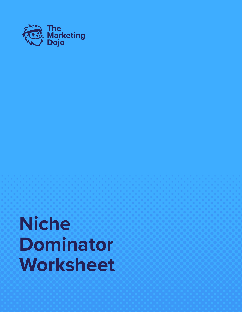

# **Niche Dominator** Worksheet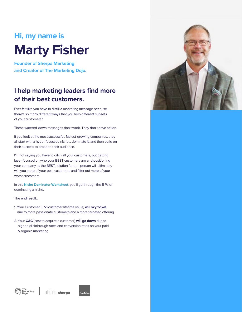# **Hi, my name is Marty Fisher**

**Founder of Sherpa Marketing and Creator of The Marketing Dojo.**

### **I help marketing leaders find more of their best customers.**

Ever felt like you have to distill a marketing message because there's so many different ways that you help different subsets of your customers?

These watered-down messages don't work. They don't drive action.

If you look at the most successful, fastest-growing companies, they all start with a hyper-focussed niche… dominate it, and then build on their success to broaden their audience.

I'm not saying you have to ditch all your customers, but getting laser-focused on who your BEST customers are and positioning your company as the BEST solution for that person will ultimately win you more of your best customers and filter out more of your worst customers.

In this **Niche Dominator Worksheet**, you'll go through the 5 Ps of dominating a niche.

The end result…

- 1. Your Customer **LTV** (customer lifetime value) **will skyrocket** due to more passionate customers and a more targeted offering
- 2. Your **CAC** (cost to acquire a customer) **will go down** due to higher clickthrough rates and conversion rates on your paid & organic marketing







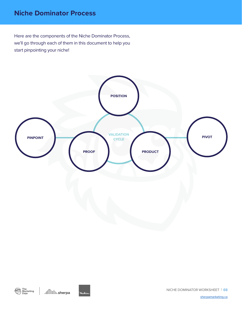### **Niche Dominator Process**

Here are the components of the Niche Dominator Process, we'll go through each of them in this document to help you start pinpointing your niche!





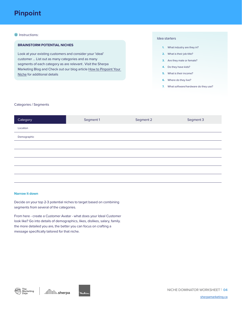### **Pinpoint**

#### i Instructions:

#### **BRAINSTORM POTENTIAL NICHES**

Look at your existing customers and consider your 'ideal' customer … List out as many categories and as many segments of each category as are relevant . Visit the Sherpa Marketing Blog and Check out our blog article [How to Pinpoint Your](https://www.sherpamarketing.ca/how-to-pinpoint-your-niche-608)  [Niche](https://www.sherpamarketing.ca/how-to-pinpoint-your-niche-608) for additional details

#### Idea starters

- **1.** What industry are they in?
- **2.** What is their job title?
- **3.** Are they male or female?
- **4.** Do they have kids?
- **5.** What is their income?
- **6.** Where do they live?
- **7.** What software/hardware do they use?

#### Categories / Segments

| Segment 1 | Segment 2 | Segment 3 |
|-----------|-----------|-----------|
|           |           |           |
|           |           |           |
|           |           |           |
|           |           |           |
|           |           |           |
|           |           |           |
|           |           |           |
|           |           |           |

#### **Narrow it down**

Decide on your top 2-3 potential niches to target based on combining segments from several of the categories.

From here - create a Customer Avatar - what does your Ideal Customer look like? Go into details of demographics, likes, dislikes, salary, family. the more detailed you are, the better you can focus on crafting a message specifically tailored for that niche.



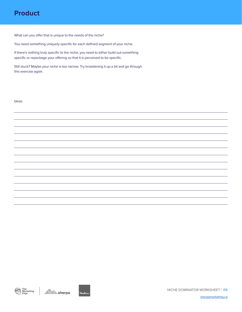### **Product**

What can you offer that is unique to the needs of the niche?

You need something uniquely specific for each defined segment of your niche.

If there's nothing truly specific to the niche, you need to either build out something specific or repackage your offering so that it is perceived to be specific.

Still stuck? Maybe your niche is too narrow. Try broadening it up a bit and go through this exercise again.

#### Ideas







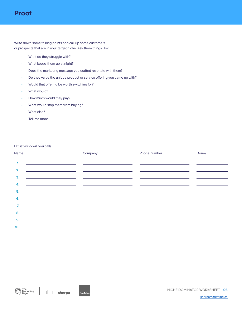### **Proof**

Write down some talking points and call up some customers or prospects that are in your target niche. Ask them things like:

- What do they struggle with?
- What keeps them up at night?
- Does the marketing message you crafted resonate with them?
- Do they value the unique product or service offering you came up with?
- Would that offering be worth switching for?
- What would?
- How much would they pay?
- What would stop them from buying?
- What else?
- Tell me more...

#### Hit list (who will you call):

| <b>Name</b> | Company                                                                                                               | Phone number | Done? |
|-------------|-----------------------------------------------------------------------------------------------------------------------|--------------|-------|
|             | <u> 1990 - Jacques Maria (h. 1980).</u> Maria eta Antonio eta Antonio eta Antonio eta Antonio eta Antonio eta Antonio |              |       |
| 2.          |                                                                                                                       |              |       |
| 3.          | <u> 1999 - Johann Harry Harry Harry Harry Harry Harry Harry Harry Harry Harry Harry Harry Harry Harry Harry Harry</u> |              |       |
| 4.          | <u> 1990 - Jan James James, martin amerikan (h. 1980).</u>                                                            |              |       |
| 5.          | <u> 1989 - Andrea Stadt, fransk politiker (d. 1989)</u>                                                               |              |       |
| 6.          |                                                                                                                       |              |       |
|             |                                                                                                                       |              |       |
|             |                                                                                                                       |              |       |
| 8.          | <u> 1990 - Jan James James James James James James James James James James James James James James James James J</u>  |              |       |
| 9.          | <u> 1980 - Jan James James, politik eta politik eta politik eta politik eta politik eta politik eta politik eta</u>   |              |       |
| 10.         | <u> 1989 - Andrea San Andrea San Andrea San Andrea San Andrea San Andrea San Andrea San Andrea San Andrea San A</u>   |              |       |

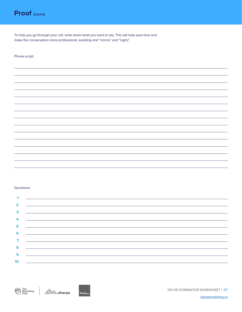

To help you go through your call, write down what you want to say. This will help save time and make the conversation more professional, avoiding and "Umms" and "Ughs".

Phone script:

#### Questions:

| 6. $\blacksquare$   |
|---------------------|
|                     |
|                     |
|                     |
|                     |
| 10. $\qquad \qquad$ |



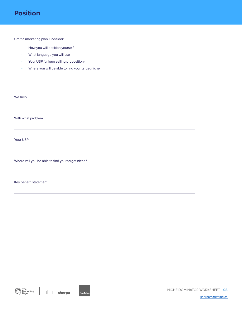### **Position**

Craft a marketing plan. Consider:

- How you will position yourself
- What language you will use
- Your USP (unique selling proposition)
- Where you will be able to find your target niche

#### We help:

With what problem:

Your USP:

Where will you be able to find your target niche?

Key benefit statement:





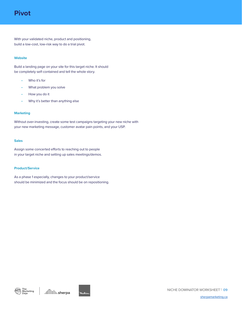### **Pivot**

With your validated niche, product and positioning, build a low-cost, low-risk way to do a trial pivot.

#### **Website**

Build a landing page on your site for this target niche. It should be completely self-contained and tell the whole story.

- Who it's for
- What problem you solve
- How you do it
- Why it's better than anything else

#### **Marketing**

Without over-investing, create some test campaigns targeting your new niche with your new marketing message, customer avatar pain points, and your USP.

#### **Sales**

Assign some concerted efforts to reaching out to people in your target niche and setting up sales meetings/demos.

#### **Product/Service**

As a phase 1 especially, changes to your product/service should be minimized and the focus should be on repositioning.



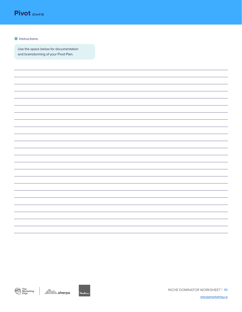#### i Instructions:

Use the space below for documentation and brainstorming of your Pivot Plan.





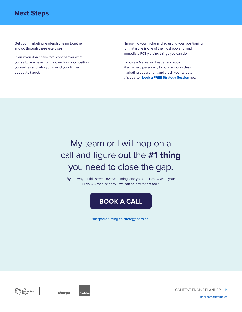### **Next Steps**

Get your marketing leadership team together and go through these exercises.

Even if you don't have total control over what you sell… you have control over how you position yourselves and who you spend your limited budget to target.

Narrowing your niche and adjusting your positioning for that niche is one of the most powerful and immediate ROI-yielding things you can do.

If you're a Marketing Leader and you'd like my help personally to build a world-class marketing department and crush your targets this quarter, **[book a FREE Strategy Session](https://www.sherpamarketing.ca/strategy-session)** now.

## My team or I will hop on a call and figure out the **#1 thing**  you need to close the gap.

By the way… if this seems overwhelming, and you don't know what your LTV:CAC ratio is today… we can help with that too :)



[sherpamarketing.ca/strategy-session](https://www.sherpamarketing.ca/strategy-session)





CONTENT ENGINE PLANNER | **11**